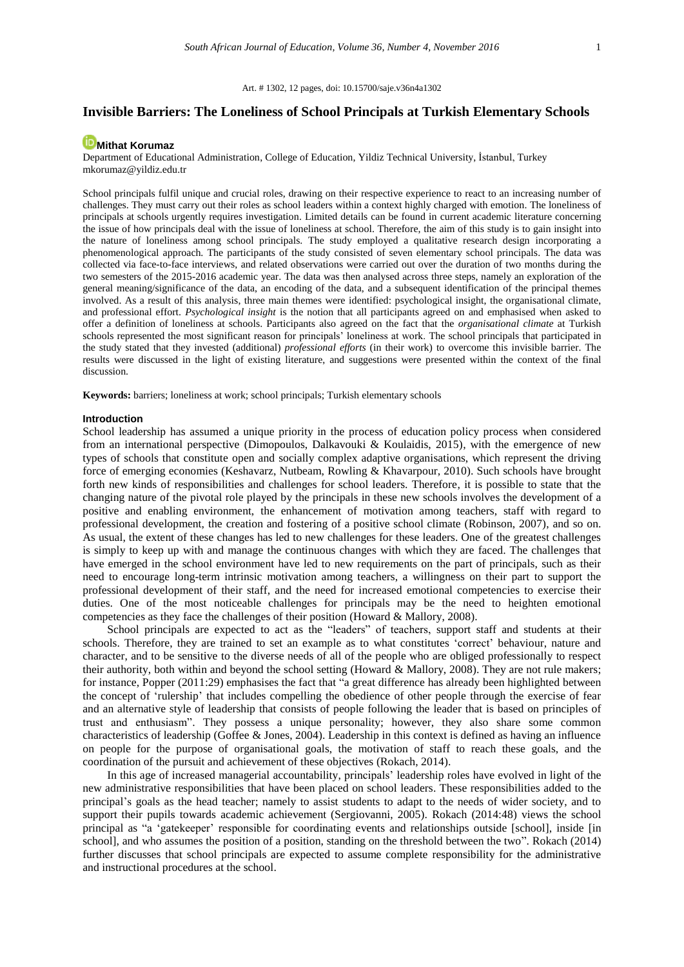Art. # 1302, 12 pages, [doi: 10.15700/saje.v36n4a1302](https://doi.org/10.15700/saje.v36n4a1302)

# **Invisible Barriers: The Loneliness of School Principals at Turkish Elementary Schools**

# **[Mithat Korumaz](http://orcid.org/0000-0003-1800-7633)**

Department of Educational Administration, College of Education, Yildiz Technical University, İstanbul, Turkey mkorumaz@yildiz.edu.tr

School principals fulfil unique and crucial roles, drawing on their respective experience to react to an increasing number of challenges. They must carry out their roles as school leaders within a context highly charged with emotion. The loneliness of principals at schools urgently requires investigation. Limited details can be found in current academic literature concerning the issue of how principals deal with the issue of loneliness at school. Therefore, the aim of this study is to gain insight into the nature of loneliness among school principals. The study employed a qualitative research design incorporating a phenomenological approach. The participants of the study consisted of seven elementary school principals. The data was collected via face-to-face interviews, and related observations were carried out over the duration of two months during the two semesters of the 2015-2016 academic year. The data was then analysed across three steps, namely an exploration of the general meaning/significance of the data, an encoding of the data, and a subsequent identification of the principal themes involved. As a result of this analysis, three main themes were identified: psychological insight, the organisational climate, and professional effort. *Psychological insight* is the notion that all participants agreed on and emphasised when asked to offer a definition of loneliness at schools. Participants also agreed on the fact that the *organisational climate* at Turkish schools represented the most significant reason for principals' loneliness at work. The school principals that participated in the study stated that they invested (additional) *professional efforts* (in their work) to overcome this invisible barrier. The results were discussed in the light of existing literature, and suggestions were presented within the context of the final discussion.

**Keywords:** barriers; loneliness at work; school principals; Turkish elementary schools

### **Introduction**

School leadership has assumed a unique priority in the process of education policy process when considered from an international perspective (Dimopoulos, Dalkavouki & Koulaidis, 2015), with the emergence of new types of schools that constitute open and socially complex adaptive organisations, which represent the driving force of emerging economies (Keshavarz, Nutbeam, Rowling & Khavarpour, 2010). Such schools have brought forth new kinds of responsibilities and challenges for school leaders. Therefore, it is possible to state that the changing nature of the pivotal role played by the principals in these new schools involves the development of a positive and enabling environment, the enhancement of motivation among teachers, staff with regard to professional development, the creation and fostering of a positive school climate (Robinson, 2007), and so on. As usual, the extent of these changes has led to new challenges for these leaders. One of the greatest challenges is simply to keep up with and manage the continuous changes with which they are faced. The challenges that have emerged in the school environment have led to new requirements on the part of principals, such as their need to encourage long-term intrinsic motivation among teachers, a willingness on their part to support the professional development of their staff, and the need for increased emotional competencies to exercise their duties. One of the most noticeable challenges for principals may be the need to heighten emotional competencies as they face the challenges of their position (Howard & Mallory, 2008).

School principals are expected to act as the "leaders" of teachers, support staff and students at their schools. Therefore, they are trained to set an example as to what constitutes 'correct' behaviour, nature and character, and to be sensitive to the diverse needs of all of the people who are obliged professionally to respect their authority, both within and beyond the school setting (Howard & Mallory, 2008). They are not rule makers; for instance, Popper (2011:29) emphasises the fact that "a great difference has already been highlighted between the concept of 'rulership' that includes compelling the obedience of other people through the exercise of fear and an alternative style of leadership that consists of people following the leader that is based on principles of trust and enthusiasm". They possess a unique personality; however, they also share some common characteristics of leadership (Goffee & Jones, 2004). Leadership in this context is defined as having an influence on people for the purpose of organisational goals, the motivation of staff to reach these goals, and the coordination of the pursuit and achievement of these objectives (Rokach, 2014).

In this age of increased managerial accountability, principals' leadership roles have evolved in light of the new administrative responsibilities that have been placed on school leaders. These responsibilities added to the principal's goals as the head teacher; namely to assist students to adapt to the needs of wider society, and to support their pupils towards academic achievement (Sergiovanni, 2005). Rokach (2014:48) views the school principal as "a 'gatekeeper' responsible for coordinating events and relationships outside [school], inside [in school], and who assumes the position of a position, standing on the threshold between the two". Rokach (2014) further discusses that school principals are expected to assume complete responsibility for the administrative and instructional procedures at the school.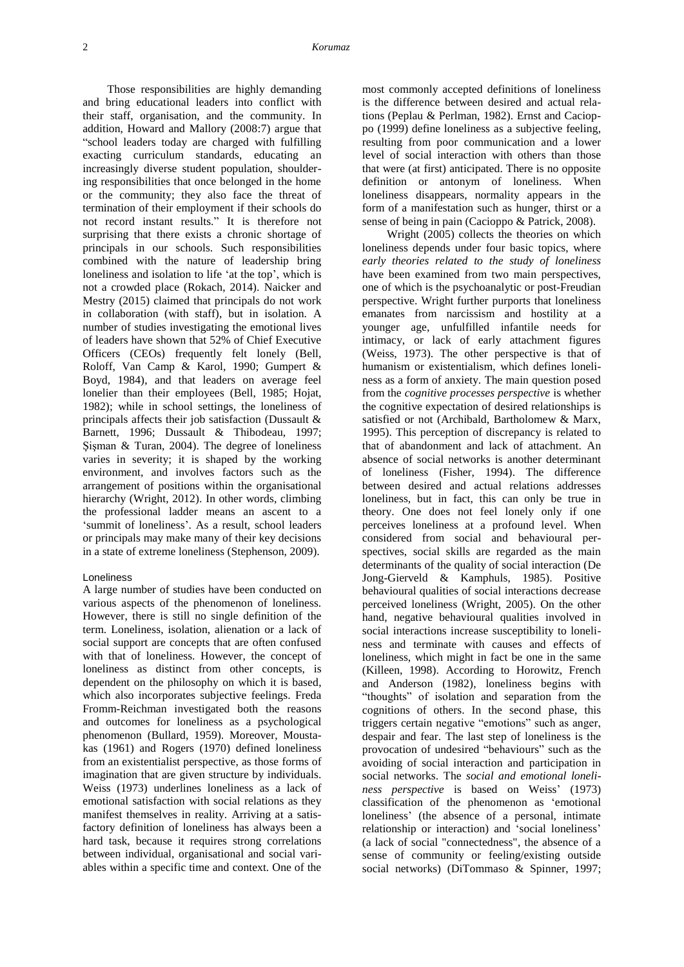Those responsibilities are highly demanding and bring educational leaders into conflict with their staff, organisation, and the community. In addition, Howard and Mallory (2008:7) argue that "school leaders today are charged with fulfilling exacting curriculum standards, educating an increasingly diverse student population, shouldering responsibilities that once belonged in the home or the community; they also face the threat of termination of their employment if their schools do not record instant results." It is therefore not surprising that there exists a chronic shortage of principals in our schools. Such responsibilities combined with the nature of leadership bring loneliness and isolation to life 'at the top', which is not a crowded place (Rokach, 2014). Naicker and Mestry (2015) claimed that principals do not work in collaboration (with staff), but in isolation. A number of studies investigating the emotional lives of leaders have shown that 52% of Chief Executive Officers (CEOs) frequently felt lonely (Bell, Roloff, Van Camp & Karol, 1990; Gumpert & Boyd, 1984), and that leaders on average feel lonelier than their employees (Bell, 1985; Hojat, 1982); while in school settings, the loneliness of principals affects their job satisfaction (Dussault & Barnett, 1996; Dussault & Thibodeau, 1997; Şişman & Turan, 2004). The degree of loneliness varies in severity; it is shaped by the working environment, and involves factors such as the arrangement of positions within the organisational hierarchy (Wright, 2012). In other words, climbing the professional ladder means an ascent to a 'summit of loneliness'. As a result, school leaders or principals may make many of their key decisions in a state of extreme loneliness (Stephenson, 2009).

### Loneliness

A large number of studies have been conducted on various aspects of the phenomenon of loneliness. However, there is still no single definition of the term. Loneliness, isolation, alienation or a lack of social support are concepts that are often confused with that of loneliness. However, the concept of loneliness as distinct from other concepts, is dependent on the philosophy on which it is based, which also incorporates subjective feelings. Freda Fromm-Reichman investigated both the reasons and outcomes for loneliness as a psychological phenomenon (Bullard, 1959). Moreover, Moustakas (1961) and Rogers (1970) defined loneliness from an existentialist perspective, as those forms of imagination that are given structure by individuals. Weiss (1973) underlines loneliness as a lack of emotional satisfaction with social relations as they manifest themselves in reality. Arriving at a satisfactory definition of loneliness has always been a hard task, because it requires strong correlations between individual, organisational and social variables within a specific time and context. One of the

most commonly accepted definitions of loneliness is the difference between desired and actual relations (Peplau & Perlman, 1982). Ernst and Cacioppo (1999) define loneliness as a subjective feeling, resulting from poor communication and a lower level of social interaction with others than those that were (at first) anticipated. There is no opposite definition or antonym of loneliness. When loneliness disappears, normality appears in the form of a manifestation such as hunger, thirst or a sense of being in pain (Cacioppo & Patrick, 2008).

Wright (2005) collects the theories on which loneliness depends under four basic topics, where *early theories related to the study of loneliness* have been examined from two main perspectives, one of which is the psychoanalytic or post-Freudian perspective. Wright further purports that loneliness emanates from narcissism and hostility at a younger age, unfulfilled infantile needs for intimacy, or lack of early attachment figures (Weiss, 1973). The other perspective is that of humanism or existentialism, which defines loneliness as a form of anxiety. The main question posed from the *cognitive processes perspective* is whether the cognitive expectation of desired relationships is satisfied or not (Archibald, Bartholomew & Marx, 1995). This perception of discrepancy is related to that of abandonment and lack of attachment. An absence of social networks is another determinant of loneliness (Fisher, 1994). The difference between desired and actual relations addresses loneliness, but in fact, this can only be true in theory. One does not feel lonely only if one perceives loneliness at a profound level. When considered from social and behavioural perspectives, social skills are regarded as the main determinants of the quality of social interaction (De Jong-Gierveld & Kamphuls, 1985). Positive behavioural qualities of social interactions decrease perceived loneliness (Wright, 2005). On the other hand, negative behavioural qualities involved in social interactions increase susceptibility to loneliness and terminate with causes and effects of loneliness, which might in fact be one in the same (Killeen, 1998). According to Horowitz, French and Anderson (1982), loneliness begins with "thoughts" of isolation and separation from the cognitions of others. In the second phase, this triggers certain negative "emotions" such as anger, despair and fear. The last step of loneliness is the provocation of undesired "behaviours" such as the avoiding of social interaction and participation in social networks. The *social and emotional loneliness perspective* is based on Weiss' (1973) classification of the phenomenon as 'emotional loneliness' (the absence of a personal, intimate relationship or interaction) and 'social loneliness' (a lack of social "connectedness", the absence of a sense of community or feeling/existing outside social networks) (DiTommaso & Spinner, 1997;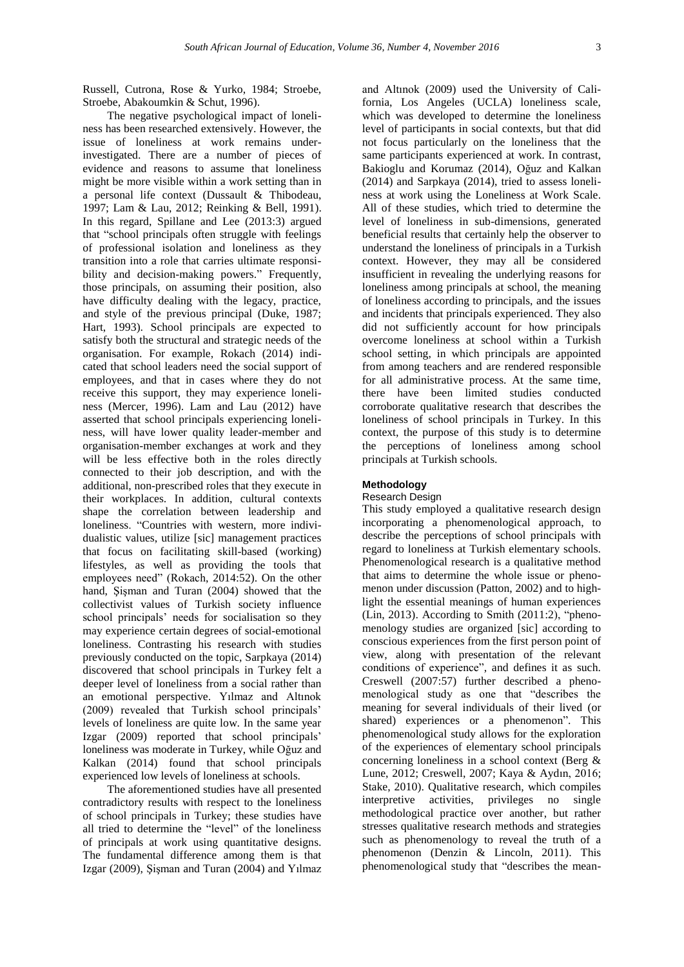Russell, Cutrona, Rose & Yurko, 1984; Stroebe, Stroebe, Abakoumkin & Schut, 1996).

The negative psychological impact of loneliness has been researched extensively. However, the issue of loneliness at work remains underinvestigated. There are a number of pieces of evidence and reasons to assume that loneliness might be more visible within a work setting than in a personal life context (Dussault & Thibodeau, 1997; Lam & Lau, 2012; Reinking & Bell, 1991). In this regard, Spillane and Lee (2013:3) argued that "school principals often struggle with feelings of professional isolation and loneliness as they transition into a role that carries ultimate responsibility and decision-making powers." Frequently, those principals, on assuming their position, also have difficulty dealing with the legacy, practice, and style of the previous principal (Duke, 1987; Hart, 1993). School principals are expected to satisfy both the structural and strategic needs of the organisation. For example, Rokach (2014) indicated that school leaders need the social support of employees, and that in cases where they do not receive this support, they may experience loneliness (Mercer, 1996). Lam and Lau (2012) have asserted that school principals experiencing loneliness, will have lower quality leader-member and organisation-member exchanges at work and they will be less effective both in the roles directly connected to their job description, and with the additional, non-prescribed roles that they execute in their workplaces. In addition, cultural contexts shape the correlation between leadership and loneliness. "Countries with western, more individualistic values, utilize [sic] management practices that focus on facilitating skill-based (working) lifestyles, as well as providing the tools that employees need" (Rokach, 2014:52). On the other hand, Şişman and Turan (2004) showed that the collectivist values of Turkish society influence school principals' needs for socialisation so they may experience certain degrees of social-emotional loneliness. Contrasting his research with studies previously conducted on the topic, Sarpkaya (2014) discovered that school principals in Turkey felt a deeper level of loneliness from a social rather than an emotional perspective. Yılmaz and Altınok (2009) revealed that Turkish school principals' levels of loneliness are quite low. In the same year Izgar (2009) reported that school principals' loneliness was moderate in Turkey, while Oğuz and Kalkan (2014) found that school principals experienced low levels of loneliness at schools.

The aforementioned studies have all presented contradictory results with respect to the loneliness of school principals in Turkey; these studies have all tried to determine the "level" of the loneliness of principals at work using quantitative designs. The fundamental difference among them is that Izgar (2009), Şişman and Turan (2004) and Yılmaz

and Altınok (2009) used the University of California, Los Angeles (UCLA) loneliness scale, which was developed to determine the loneliness level of participants in social contexts, but that did not focus particularly on the loneliness that the same participants experienced at work. In contrast, Bakioglu and Korumaz (2014), Oğuz and Kalkan (2014) and Sarpkaya (2014), tried to assess loneliness at work using the Loneliness at Work Scale. All of these studies, which tried to determine the level of loneliness in sub-dimensions, generated beneficial results that certainly help the observer to understand the loneliness of principals in a Turkish context. However, they may all be considered insufficient in revealing the underlying reasons for loneliness among principals at school, the meaning of loneliness according to principals, and the issues and incidents that principals experienced. They also did not sufficiently account for how principals overcome loneliness at school within a Turkish school setting, in which principals are appointed from among teachers and are rendered responsible for all administrative process. At the same time, there have been limited studies conducted corroborate qualitative research that describes the loneliness of school principals in Turkey. In this context, the purpose of this study is to determine the perceptions of loneliness among school principals at Turkish schools.

# **Methodology**

## Research Design

This study employed a qualitative research design incorporating a phenomenological approach, to describe the perceptions of school principals with regard to loneliness at Turkish elementary schools. Phenomenological research is a qualitative method that aims to determine the whole issue or phenomenon under discussion (Patton, 2002) and to highlight the essential meanings of human experiences (Lin, 2013). According to Smith (2011:2), "phenomenology studies are organized [sic] according to conscious experiences from the first person point of view, along with presentation of the relevant conditions of experience", and defines it as such. Creswell (2007:57) further described a phenomenological study as one that "describes the meaning for several individuals of their lived (or shared) experiences or a phenomenon". This phenomenological study allows for the exploration of the experiences of elementary school principals concerning loneliness in a school context (Berg & Lune, 2012; Creswell, 2007; Kaya & Aydın, 2016; Stake, 2010). Qualitative research, which compiles interpretive activities, privileges no single methodological practice over another, but rather stresses qualitative research methods and strategies such as phenomenology to reveal the truth of a phenomenon (Denzin & Lincoln, 2011). This phenomenological study that "describes the mean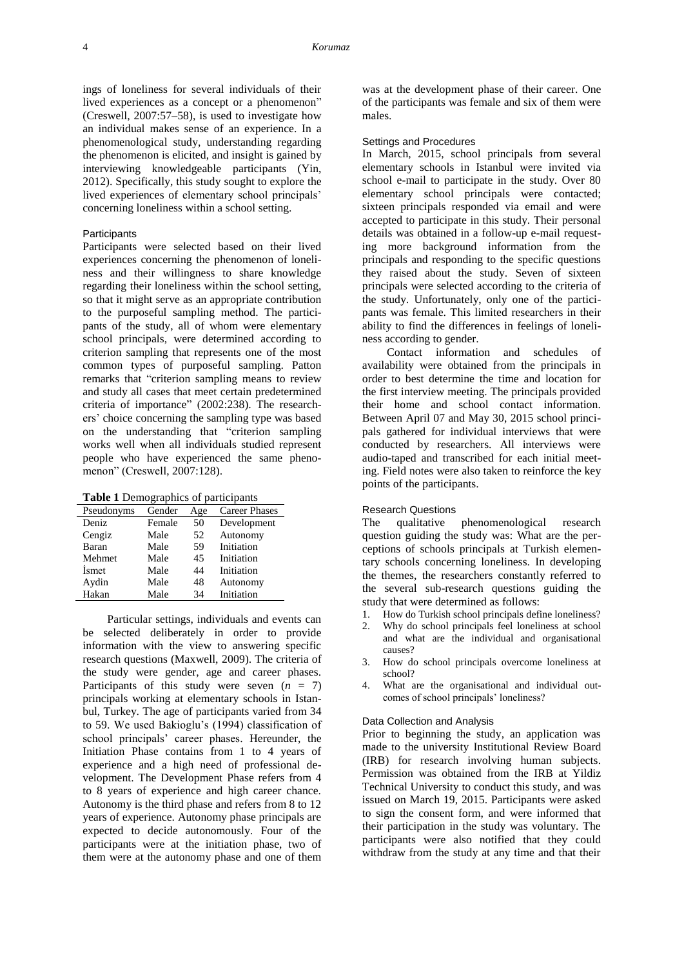ings of loneliness for several individuals of their lived experiences as a concept or a phenomenon" (Creswell, 2007:57–58), is used to investigate how an individual makes sense of an experience. In a phenomenological study, understanding regarding the phenomenon is elicited, and insight is gained by interviewing knowledgeable participants (Yin, 2012). Specifically, this study sought to explore the lived experiences of elementary school principals' concerning loneliness within a school setting.

# **Participants**

Participants were selected based on their lived experiences concerning the phenomenon of loneliness and their willingness to share knowledge regarding their loneliness within the school setting, so that it might serve as an appropriate contribution to the purposeful sampling method. The participants of the study, all of whom were elementary school principals, were determined according to criterion sampling that represents one of the most common types of purposeful sampling. Patton remarks that "criterion sampling means to review and study all cases that meet certain predetermined criteria of importance" (2002:238). The researchers' choice concerning the sampling type was based on the understanding that "criterion sampling works well when all individuals studied represent people who have experienced the same phenomenon" (Creswell, 2007:128).

|  |  |  | Table 1 Demographics of participants |
|--|--|--|--------------------------------------|
|--|--|--|--------------------------------------|

| Pseudonyms | Gender | Age | <b>Career Phases</b> |
|------------|--------|-----|----------------------|
| Deniz      | Female | 50  | Development          |
| Cengiz     | Male   | 52  | Autonomy             |
| Baran      | Male   | 59  | Initiation           |
| Mehmet     | Male   | 45  | Initiation           |
| Ismet      | Male   | 44  | Initiation           |
| Aydin      | Male   | 48  | Autonomy             |
| Hakan      | Male   | 34  | Initiation           |

Particular settings, individuals and events can be selected deliberately in order to provide information with the view to answering specific research questions (Maxwell, 2009). The criteria of the study were gender, age and career phases. Participants of this study were seven  $(n = 7)$ principals working at elementary schools in Istanbul, Turkey. The age of participants varied from 34 to 59. We used Bakioglu's (1994) classification of school principals' career phases. Hereunder, the Initiation Phase contains from 1 to 4 years of experience and a high need of professional development. The Development Phase refers from 4 to 8 years of experience and high career chance. Autonomy is the third phase and refers from 8 to 12 years of experience. Autonomy phase principals are expected to decide autonomously. Four of the participants were at the initiation phase, two of them were at the autonomy phase and one of them

was at the development phase of their career. One of the participants was female and six of them were males.

#### Settings and Procedures

In March, 2015, school principals from several elementary schools in Istanbul were invited via school e-mail to participate in the study. Over 80 elementary school principals were contacted; sixteen principals responded via email and were accepted to participate in this study. Their personal details was obtained in a follow-up e-mail requesting more background information from the principals and responding to the specific questions they raised about the study. Seven of sixteen principals were selected according to the criteria of the study. Unfortunately, only one of the participants was female. This limited researchers in their ability to find the differences in feelings of loneliness according to gender.

Contact information and schedules of availability were obtained from the principals in order to best determine the time and location for the first interview meeting. The principals provided their home and school contact information. Between April 07 and May 30, 2015 school principals gathered for individual interviews that were conducted by researchers. All interviews were audio-taped and transcribed for each initial meeting. Field notes were also taken to reinforce the key points of the participants.

### Research Questions

The qualitative phenomenological research question guiding the study was: What are the perceptions of schools principals at Turkish elementary schools concerning loneliness. In developing the themes, the researchers constantly referred to the several sub-research questions guiding the study that were determined as follows:

- 1. How do Turkish school principals define loneliness? 2. Why do school principals feel loneliness at school and what are the individual and organisational causes?
- 3. How do school principals overcome loneliness at school?
- 4. What are the organisational and individual outcomes of school principals' loneliness?

# Data Collection and Analysis

Prior to beginning the study, an application was made to the university Institutional Review Board (IRB) for research involving human subjects. Permission was obtained from the IRB at Yildiz Technical University to conduct this study, and was issued on March 19, 2015. Participants were asked to sign the consent form, and were informed that their participation in the study was voluntary. The participants were also notified that they could withdraw from the study at any time and that their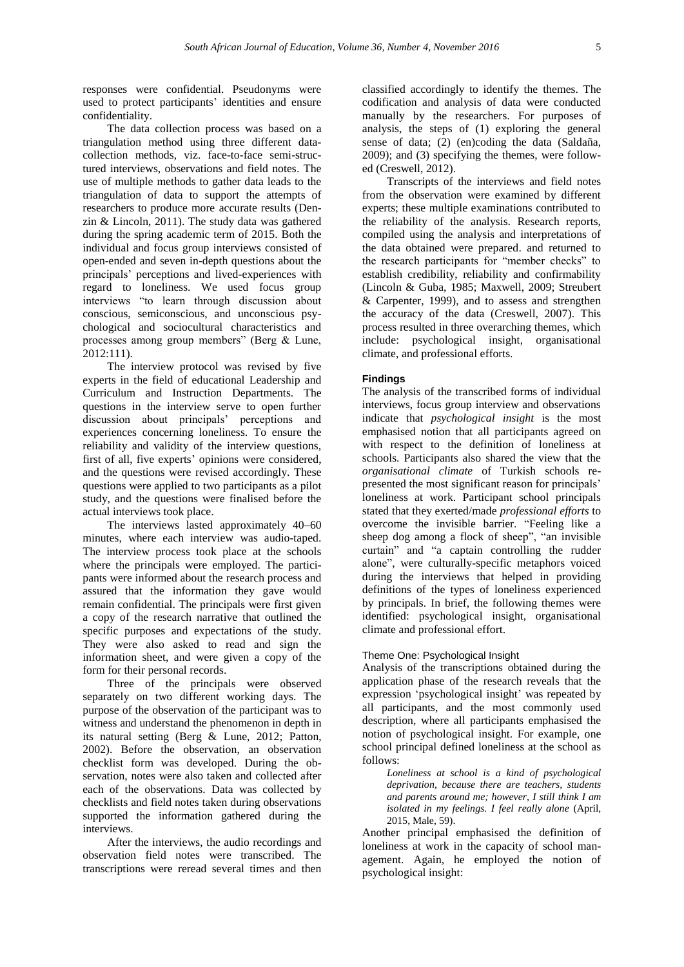responses were confidential. Pseudonyms were used to protect participants' identities and ensure confidentiality.

The data collection process was based on a triangulation method using three different datacollection methods, viz. face-to-face semi-structured interviews, observations and field notes. The use of multiple methods to gather data leads to the triangulation of data to support the attempts of researchers to produce more accurate results (Denzin & Lincoln, 2011). The study data was gathered during the spring academic term of 2015. Both the individual and focus group interviews consisted of open-ended and seven in-depth questions about the principals' perceptions and lived-experiences with regard to loneliness. We used focus group interviews "to learn through discussion about conscious, semiconscious, and unconscious psychological and sociocultural characteristics and processes among group members" (Berg & Lune, 2012:111).

The interview protocol was revised by five experts in the field of educational Leadership and Curriculum and Instruction Departments. The questions in the interview serve to open further discussion about principals' perceptions and experiences concerning loneliness. To ensure the reliability and validity of the interview questions, first of all, five experts' opinions were considered, and the questions were revised accordingly. These questions were applied to two participants as a pilot study, and the questions were finalised before the actual interviews took place.

The interviews lasted approximately 40–60 minutes, where each interview was audio-taped. The interview process took place at the schools where the principals were employed. The participants were informed about the research process and assured that the information they gave would remain confidential. The principals were first given a copy of the research narrative that outlined the specific purposes and expectations of the study. They were also asked to read and sign the information sheet, and were given a copy of the form for their personal records.

Three of the principals were observed separately on two different working days. The purpose of the observation of the participant was to witness and understand the phenomenon in depth in its natural setting (Berg & Lune, 2012; Patton, 2002). Before the observation, an observation checklist form was developed. During the observation, notes were also taken and collected after each of the observations. Data was collected by checklists and field notes taken during observations supported the information gathered during the interviews.

After the interviews, the audio recordings and observation field notes were transcribed. The transcriptions were reread several times and then

classified accordingly to identify the themes. The codification and analysis of data were conducted manually by the researchers. For purposes of analysis, the steps of (1) exploring the general sense of data; (2) (en)coding the data (Saldaña, 2009); and (3) specifying the themes, were followed (Creswell, 2012).

Transcripts of the interviews and field notes from the observation were examined by different experts; these multiple examinations contributed to the reliability of the analysis. Research reports, compiled using the analysis and interpretations of the data obtained were prepared. and returned to the research participants for "member checks" to establish credibility, reliability and confirmability (Lincoln & Guba, 1985; Maxwell, 2009; Streubert & Carpenter, 1999), and to assess and strengthen the accuracy of the data (Creswell, 2007). This process resulted in three overarching themes, which include: psychological insight, organisational climate, and professional efforts.

## **Findings**

The analysis of the transcribed forms of individual interviews, focus group interview and observations indicate that *psychological insight* is the most emphasised notion that all participants agreed on with respect to the definition of loneliness at schools. Participants also shared the view that the *organisational climate* of Turkish schools represented the most significant reason for principals' loneliness at work. Participant school principals stated that they exerted/made *professional efforts* to overcome the invisible barrier. "Feeling like a sheep dog among a flock of sheep", "an invisible curtain" and "a captain controlling the rudder alone", were culturally-specific metaphors voiced during the interviews that helped in providing definitions of the types of loneliness experienced by principals. In brief, the following themes were identified: psychological insight, organisational climate and professional effort.

# Theme One: Psychological Insight

Analysis of the transcriptions obtained during the application phase of the research reveals that the expression 'psychological insight' was repeated by all participants, and the most commonly used description, where all participants emphasised the notion of psychological insight. For example, one school principal defined loneliness at the school as follows:

*Loneliness at school is a kind of psychological deprivation, because there are teachers, students and parents around me; however, I still think I am isolated in my feelings. I feel really alone* (April, 2015, Male, 59).

Another principal emphasised the definition of loneliness at work in the capacity of school management. Again, he employed the notion of psychological insight: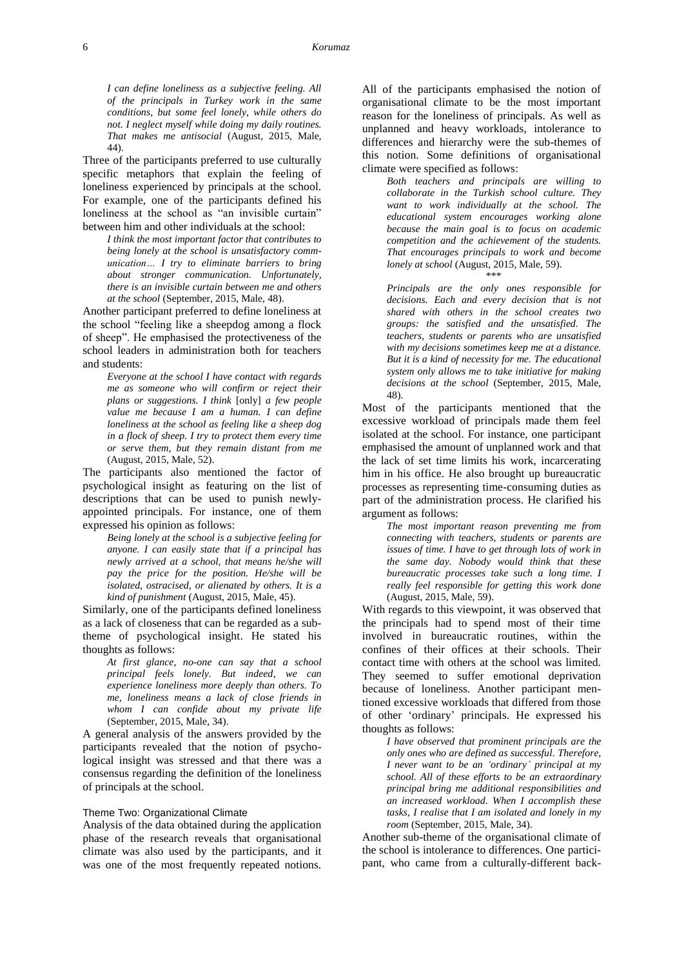*I can define loneliness as a subjective feeling. All of the principals in Turkey work in the same conditions, but some feel lonely, while others do not. I neglect myself while doing my daily routines. That makes me antisocial* (August, 2015, Male, 44).

Three of the participants preferred to use culturally specific metaphors that explain the feeling of loneliness experienced by principals at the school. For example, one of the participants defined his loneliness at the school as "an invisible curtain" between him and other individuals at the school:

*I think the most important factor that contributes to being lonely at the school is unsatisfactory communication… I try to eliminate barriers to bring about stronger communication. Unfortunately, there is an invisible curtain between me and others at the school* (September, 2015, Male, 48).

Another participant preferred to define loneliness at the school "feeling like a sheepdog among a flock of sheep". He emphasised the protectiveness of the school leaders in administration both for teachers and students:

*Everyone at the school I have contact with regards me as someone who will confirm or reject their plans or suggestions. I think* [only] *a few people value me because I am a human. I can define loneliness at the school as feeling like a sheep dog in a flock of sheep. I try to protect them every time or serve them, but they remain distant from me* (August, 2015, Male, 52).

The participants also mentioned the factor of psychological insight as featuring on the list of descriptions that can be used to punish newlyappointed principals. For instance, one of them expressed his opinion as follows:

*Being lonely at the school is a subjective feeling for anyone. I can easily state that if a principal has newly arrived at a school, that means he/she will pay the price for the position. He/she will be isolated, ostracised, or alienated by others. It is a kind of punishment* (August, 2015, Male, 45).

Similarly, one of the participants defined loneliness as a lack of closeness that can be regarded as a subtheme of psychological insight. He stated his thoughts as follows:

*At first glance, no-one can say that a school principal feels lonely. But indeed, we can experience loneliness more deeply than others. To me, loneliness means a lack of close friends in whom I can confide about my private life* (September, 2015, Male, 34).

A general analysis of the answers provided by the participants revealed that the notion of psychological insight was stressed and that there was a consensus regarding the definition of the loneliness of principals at the school.

### Theme Two: Organizational Climate

Analysis of the data obtained during the application phase of the research reveals that organisational climate was also used by the participants, and it was one of the most frequently repeated notions. All of the participants emphasised the notion of organisational climate to be the most important reason for the loneliness of principals. As well as unplanned and heavy workloads, intolerance to differences and hierarchy were the sub-themes of this notion. Some definitions of organisational climate were specified as follows:

*Both teachers and principals are willing to collaborate in the Turkish school culture. They want to work individually at the school. The educational system encourages working alone because the main goal is to focus on academic competition and the achievement of the students. That encourages principals to work and become lonely at school* (August, 2015, Male, 59). \*\*\*

*Principals are the only ones responsible for decisions. Each and every decision that is not shared with others in the school creates two groups: the satisfied and the unsatisfied. The teachers, students or parents who are unsatisfied with my decisions sometimes keep me at a distance. But it is a kind of necessity for me. The educational system only allows me to take initiative for making decisions at the school* (September, 2015, Male, 48).

Most of the participants mentioned that the excessive workload of principals made them feel isolated at the school. For instance, one participant emphasised the amount of unplanned work and that the lack of set time limits his work, incarcerating him in his office. He also brought up bureaucratic processes as representing time-consuming duties as part of the administration process. He clarified his argument as follows:

*The most important reason preventing me from connecting with teachers, students or parents are issues of time. I have to get through lots of work in the same day. Nobody would think that these bureaucratic processes take such a long time. I really feel responsible for getting this work done* (August, 2015, Male, 59).

With regards to this viewpoint, it was observed that the principals had to spend most of their time involved in bureaucratic routines, within the confines of their offices at their schools. Their contact time with others at the school was limited. They seemed to suffer emotional deprivation because of loneliness. Another participant mentioned excessive workloads that differed from those of other 'ordinary' principals. He expressed his thoughts as follows:

*I have observed that prominent principals are the only ones who are defined as successful. Therefore, I never want to be an 'ordinary' principal at my school. All of these efforts to be an extraordinary principal bring me additional responsibilities and an increased workload. When I accomplish these tasks, I realise that I am isolated and lonely in my room* (September, 2015, Male, 34).

Another sub-theme of the organisational climate of the school is intolerance to differences. One participant, who came from a culturally-different back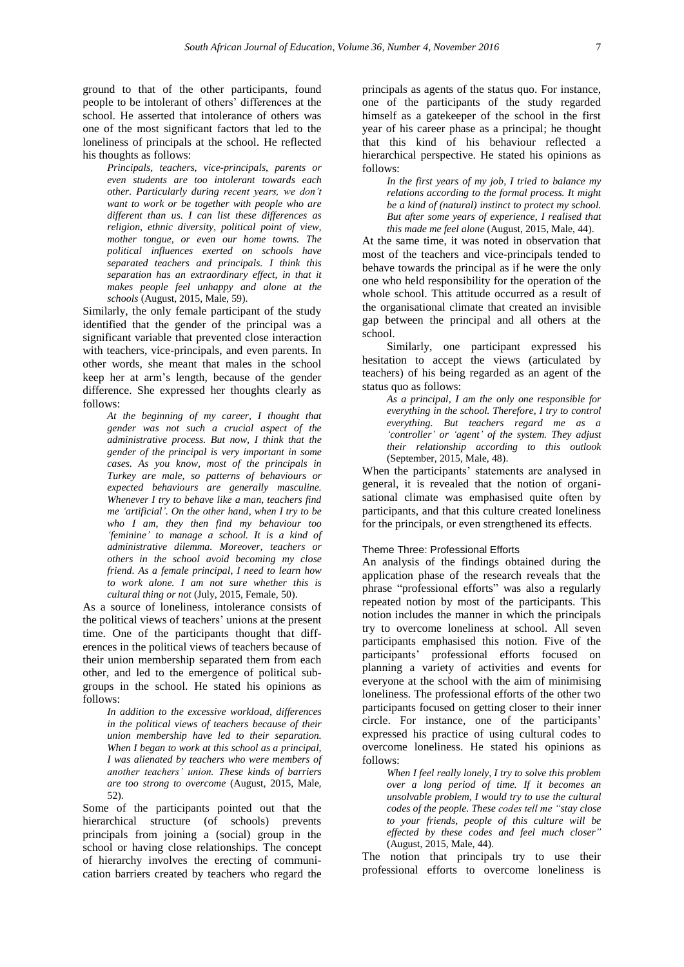ground to that of the other participants, found people to be intolerant of others' differences at the school. He asserted that intolerance of others was one of the most significant factors that led to the loneliness of principals at the school. He reflected his thoughts as follows:

*Principals, teachers, vice-principals, parents or even students are too intolerant towards each other. Particularly during recent years, we don't want to work or be together with people who are different than us. I can list these differences as religion, ethnic diversity, political point of view, mother tongue, or even our home towns. The political influences exerted on schools have separated teachers and principals. I think this separation has an extraordinary effect, in that it makes people feel unhappy and alone at the schools* (August, 2015, Male, 59).

Similarly, the only female participant of the study identified that the gender of the principal was a significant variable that prevented close interaction with teachers, vice-principals, and even parents. In other words, she meant that males in the school keep her at arm's length, because of the gender difference. She expressed her thoughts clearly as follows:

*At the beginning of my career, I thought that gender was not such a crucial aspect of the administrative process. But now, I think that the gender of the principal is very important in some cases. As you know, most of the principals in Turkey are male, so patterns of behaviours or expected behaviours are generally masculine. Whenever I try to behave like a man, teachers find me 'artificial'. On the other hand, when I try to be who I am, they then find my behaviour too 'feminine' to manage a school. It is a kind of administrative dilemma. Moreover, teachers or others in the school avoid becoming my close friend. As a female principal, I need to learn how to work alone. I am not sure whether this is cultural thing or not* (July, 2015, Female, 50).

As a source of loneliness, intolerance consists of the political views of teachers' unions at the present time. One of the participants thought that differences in the political views of teachers because of their union membership separated them from each other, and led to the emergence of political subgroups in the school. He stated his opinions as follows:

> *In addition to the excessive workload, differences in the political views of teachers because of their union membership have led to their separation. When I began to work at this school as a principal, I was alienated by teachers who were members of another teachers' union. These kinds of barriers are too strong to overcome* (August, 2015, Male, 52).

Some of the participants pointed out that the hierarchical structure (of schools) prevents principals from joining a (social) group in the school or having close relationships. The concept of hierarchy involves the erecting of communication barriers created by teachers who regard the

principals as agents of the status quo. For instance, one of the participants of the study regarded himself as a gatekeeper of the school in the first year of his career phase as a principal; he thought that this kind of his behaviour reflected a hierarchical perspective. He stated his opinions as follows:

*In the first years of my job, I tried to balance my relations according to the formal process. It might be a kind of (natural) instinct to protect my school. But after some years of experience, I realised that this made me feel alone* (August, 2015, Male, 44).

At the same time, it was noted in observation that most of the teachers and vice-principals tended to behave towards the principal as if he were the only one who held responsibility for the operation of the whole school. This attitude occurred as a result of the organisational climate that created an invisible gap between the principal and all others at the school.

Similarly, one participant expressed his hesitation to accept the views (articulated by teachers) of his being regarded as an agent of the status quo as follows:

*As a principal, I am the only one responsible for everything in the school. Therefore, I try to control everything. But teachers regard me as a 'controller' or 'agent' of the system. They adjust their relationship according to this outlook* (September, 2015, Male, 48).

When the participants' statements are analysed in general, it is revealed that the notion of organisational climate was emphasised quite often by participants, and that this culture created loneliness for the principals, or even strengthened its effects.

#### Theme Three: Professional Efforts

An analysis of the findings obtained during the application phase of the research reveals that the phrase "professional efforts" was also a regularly repeated notion by most of the participants. This notion includes the manner in which the principals try to overcome loneliness at school. All seven participants emphasised this notion. Five of the participants' professional efforts focused on planning a variety of activities and events for everyone at the school with the aim of minimising loneliness. The professional efforts of the other two participants focused on getting closer to their inner circle. For instance, one of the participants' expressed his practice of using cultural codes to overcome loneliness. He stated his opinions as follows:

*When I feel really lonely, I try to solve this problem over a long period of time. If it becomes an unsolvable problem, I would try to use the cultural codes of the people. These codes tell me "stay close to your friends, people of this culture will be effected by these codes and feel much closer"* (August, 2015, Male, 44).

The notion that principals try to use their professional efforts to overcome loneliness is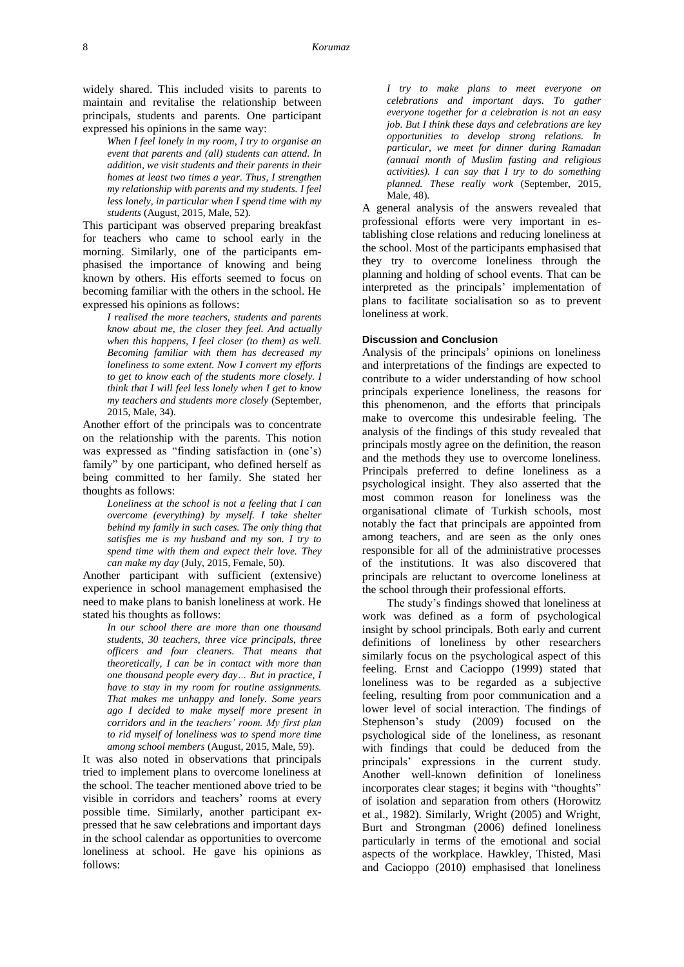widely shared. This included visits to parents to maintain and revitalise the relationship between principals, students and parents. One participant expressed his opinions in the same way:

> *When I feel lonely in my room, I try to organise an event that parents and (all) students can attend. In addition, we visit students and their parents in their homes at least two times a year. Thus, I strengthen my relationship with parents and my students. I feel less lonely, in particular when I spend time with my students* (August, 2015, Male, 52).

This participant was observed preparing breakfast for teachers who came to school early in the morning. Similarly, one of the participants emphasised the importance of knowing and being known by others. His efforts seemed to focus on becoming familiar with the others in the school. He expressed his opinions as follows:

*I realised the more teachers, students and parents know about me, the closer they feel. And actually when this happens, I feel closer (to them) as well. Becoming familiar with them has decreased my loneliness to some extent. Now I convert my efforts to get to know each of the students more closely. I think that I will feel less lonely when I get to know my teachers and students more closely* (September, 2015, Male, 34).

Another effort of the principals was to concentrate on the relationship with the parents. This notion was expressed as "finding satisfaction in (one's) family" by one participant, who defined herself as being committed to her family. She stated her thoughts as follows:

> *Loneliness at the school is not a feeling that I can overcome (everything) by myself. I take shelter behind my family in such cases. The only thing that satisfies me is my husband and my son. I try to spend time with them and expect their love. They can make my day* (July, 2015, Female, 50).

Another participant with sufficient (extensive) experience in school management emphasised the need to make plans to banish loneliness at work. He stated his thoughts as follows:

> *In our school there are more than one thousand students, 30 teachers, three vice principals, three officers and four cleaners. That means that theoretically, I can be in contact with more than one thousand people every day… But in practice, I have to stay in my room for routine assignments. That makes me unhappy and lonely. Some years ago I decided to make myself more present in corridors and in the teachers' room. My first plan to rid myself of loneliness was to spend more time among school members* (August, 2015, Male, 59).

It was also noted in observations that principals tried to implement plans to overcome loneliness at the school. The teacher mentioned above tried to be visible in corridors and teachers' rooms at every possible time. Similarly, another participant expressed that he saw celebrations and important days in the school calendar as opportunities to overcome loneliness at school. He gave his opinions as follows:

*I try to make plans to meet everyone on celebrations and important days. To gather everyone together for a celebration is not an easy job. But I think these days and celebrations are key opportunities to develop strong relations. In particular, we meet for dinner during Ramadan (annual month of Muslim fasting and religious activities). I can say that I try to do something planned. These really work* (September, 2015, Male, 48).

A general analysis of the answers revealed that professional efforts were very important in establishing close relations and reducing loneliness at the school. Most of the participants emphasised that they try to overcome loneliness through the planning and holding of school events. That can be interpreted as the principals' implementation of plans to facilitate socialisation so as to prevent loneliness at work.

### **Discussion and Conclusion**

Analysis of the principals' opinions on loneliness and interpretations of the findings are expected to contribute to a wider understanding of how school principals experience loneliness, the reasons for this phenomenon, and the efforts that principals make to overcome this undesirable feeling. The analysis of the findings of this study revealed that principals mostly agree on the definition, the reason and the methods they use to overcome loneliness. Principals preferred to define loneliness as a psychological insight. They also asserted that the most common reason for loneliness was the organisational climate of Turkish schools, most notably the fact that principals are appointed from among teachers, and are seen as the only ones responsible for all of the administrative processes of the institutions. It was also discovered that principals are reluctant to overcome loneliness at the school through their professional efforts.

The study's findings showed that loneliness at work was defined as a form of psychological insight by school principals. Both early and current definitions of loneliness by other researchers similarly focus on the psychological aspect of this feeling. Ernst and Cacioppo (1999) stated that loneliness was to be regarded as a subjective feeling, resulting from poor communication and a lower level of social interaction. The findings of Stephenson's study (2009) focused on the psychological side of the loneliness, as resonant with findings that could be deduced from the principals' expressions in the current study. Another well-known definition of loneliness incorporates clear stages; it begins with "thoughts" of isolation and separation from others (Horowitz et al., 1982). Similarly, Wright (2005) and Wright, Burt and Strongman (2006) defined loneliness particularly in terms of the emotional and social aspects of the workplace. Hawkley, Thisted, Masi and Cacioppo (2010) emphasised that loneliness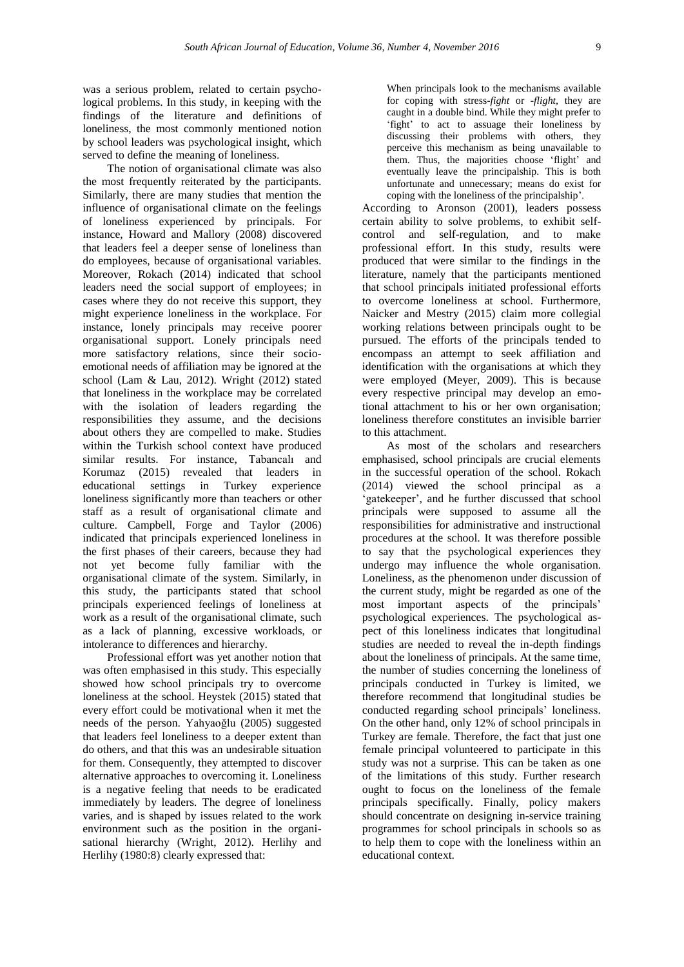was a serious problem, related to certain psychological problems. In this study, in keeping with the findings of the literature and definitions of loneliness, the most commonly mentioned notion by school leaders was psychological insight, which served to define the meaning of loneliness.

The notion of organisational climate was also the most frequently reiterated by the participants. Similarly, there are many studies that mention the influence of organisational climate on the feelings of loneliness experienced by principals. For instance, Howard and Mallory (2008) discovered that leaders feel a deeper sense of loneliness than do employees, because of organisational variables. Moreover, Rokach (2014) indicated that school leaders need the social support of employees; in cases where they do not receive this support, they might experience loneliness in the workplace. For instance, lonely principals may receive poorer organisational support. Lonely principals need more satisfactory relations, since their socioemotional needs of affiliation may be ignored at the school (Lam & Lau, 2012). Wright (2012) stated that loneliness in the workplace may be correlated with the isolation of leaders regarding the responsibilities they assume, and the decisions about others they are compelled to make. Studies within the Turkish school context have produced similar results. For instance, Tabancalı and Korumaz (2015) revealed that leaders in educational settings in Turkey experience loneliness significantly more than teachers or other staff as a result of organisational climate and culture. Campbell, Forge and Taylor (2006) indicated that principals experienced loneliness in the first phases of their careers, because they had not yet become fully familiar with the organisational climate of the system. Similarly, in this study, the participants stated that school principals experienced feelings of loneliness at work as a result of the organisational climate, such as a lack of planning, excessive workloads, or intolerance to differences and hierarchy.

Professional effort was yet another notion that was often emphasised in this study. This especially showed how school principals try to overcome loneliness at the school. Heystek (2015) stated that every effort could be motivational when it met the needs of the person. Yahyaoğlu (2005) suggested that leaders feel loneliness to a deeper extent than do others, and that this was an undesirable situation for them. Consequently, they attempted to discover alternative approaches to overcoming it. Loneliness is a negative feeling that needs to be eradicated immediately by leaders. The degree of loneliness varies, and is shaped by issues related to the work environment such as the position in the organisational hierarchy (Wright, 2012). Herlihy and Herlihy (1980:8) clearly expressed that:

When principals look to the mechanisms available for coping with stress-*fight* or -*flight,* they are caught in a double bind. While they might prefer to 'fight' to act to assuage their loneliness by discussing their problems with others, they perceive this mechanism as being unavailable to them. Thus, the majorities choose 'flight' and eventually leave the principalship. This is both unfortunate and unnecessary; means do exist for coping with the loneliness of the principalship'.

According to Aronson (2001), leaders possess certain ability to solve problems, to exhibit selfcontrol and self-regulation, and to make professional effort. In this study, results were produced that were similar to the findings in the literature, namely that the participants mentioned that school principals initiated professional efforts to overcome loneliness at school. Furthermore, Naicker and Mestry (2015) claim more collegial working relations between principals ought to be pursued. The efforts of the principals tended to encompass an attempt to seek affiliation and identification with the organisations at which they were employed (Meyer, 2009). This is because every respective principal may develop an emotional attachment to his or her own organisation; loneliness therefore constitutes an invisible barrier to this attachment.

As most of the scholars and researchers emphasised, school principals are crucial elements in the successful operation of the school. Rokach (2014) viewed the school principal as a 'gatekeeper', and he further discussed that school principals were supposed to assume all the responsibilities for administrative and instructional procedures at the school. It was therefore possible to say that the psychological experiences they undergo may influence the whole organisation. Loneliness, as the phenomenon under discussion of the current study, might be regarded as one of the most important aspects of the principals' psychological experiences. The psychological aspect of this loneliness indicates that longitudinal studies are needed to reveal the in-depth findings about the loneliness of principals. At the same time, the number of studies concerning the loneliness of principals conducted in Turkey is limited, we therefore recommend that longitudinal studies be conducted regarding school principals' loneliness. On the other hand, only 12% of school principals in Turkey are female. Therefore, the fact that just one female principal volunteered to participate in this study was not a surprise. This can be taken as one of the limitations of this study. Further research ought to focus on the loneliness of the female principals specifically. Finally, policy makers should concentrate on designing in-service training programmes for school principals in schools so as to help them to cope with the loneliness within an educational context.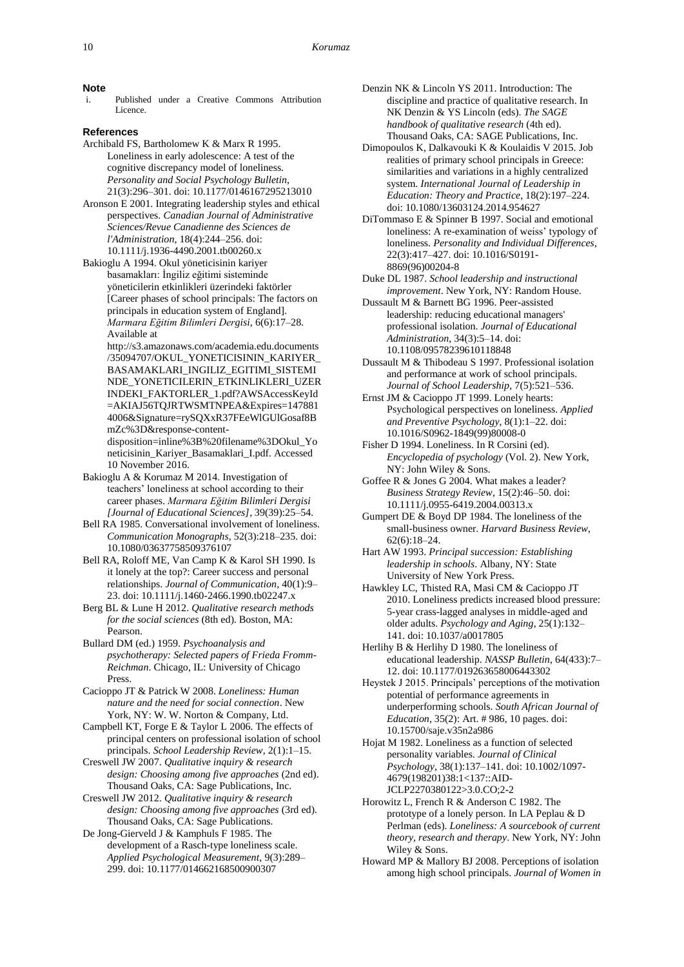#### **Note**

Published under a Creative Commons Attribution Licence.

## **References**

- Archibald FS, Bartholomew K & Marx R 1995. Loneliness in early adolescence: A test of the cognitive discrepancy model of loneliness. *Personality and Social Psychology Bulletin*, 21(3):296–301. doi: [10.1177/0146167295213010](https://doi.org/10.1177/0146167295213010)
- Aronson E 2001. Integrating leadership styles and ethical perspectives. *Canadian Journal of Administrative Sciences/Revue Canadienne des Sciences de l'Administration*, 18(4):244–256[. doi:](https://doi.org/10.1111/j.1936-4490.2001.tb00260.x) [10.1111/j.1936-4490.2001.tb00260.x](https://doi.org/10.1111/j.1936-4490.2001.tb00260.x)
- Bakioglu A 1994. Okul yöneticisinin kariyer basamakları: İngiliz eğitimi sisteminde yöneticilerin etkinlikleri üzerindeki faktörler [Career phases of school principals: The factors on principals in education system of England]. *Marmara Eğitim Bilimleri Dergisi*, 6(6):17–28. Available at
	- [http://s3.amazonaws.com/academia.edu.documents](http://s3.amazonaws.com/academia.edu.documents/35094707/OKUL_YONETICISININ_KARIYER_BASAMAKLARI_INGILIZ_EGITIMI_SISTEMINDE_YONETICILERIN_ETKINLIKLERI_UZERINDEKI_FAKTORLER_1.pdf?AWSAccessKeyId=AKIAJ56TQJRTWSMTNPEA&Expires=1478814006&Signature=rySQXxR37FEeWlGUlGosaf8BmZc%3D&response-content-disposition=inline%3B%20filename%3DOkul_Yoneticisinin_Kariyer_Basamaklari_I.pdf) [/35094707/OKUL\\_YONETICISININ\\_KARIYER\\_](http://s3.amazonaws.com/academia.edu.documents/35094707/OKUL_YONETICISININ_KARIYER_BASAMAKLARI_INGILIZ_EGITIMI_SISTEMINDE_YONETICILERIN_ETKINLIKLERI_UZERINDEKI_FAKTORLER_1.pdf?AWSAccessKeyId=AKIAJ56TQJRTWSMTNPEA&Expires=1478814006&Signature=rySQXxR37FEeWlGUlGosaf8BmZc%3D&response-content-disposition=inline%3B%20filename%3DOkul_Yoneticisinin_Kariyer_Basamaklari_I.pdf) [BASAMAKLARI\\_INGILIZ\\_EGITIMI\\_SISTEMI](http://s3.amazonaws.com/academia.edu.documents/35094707/OKUL_YONETICISININ_KARIYER_BASAMAKLARI_INGILIZ_EGITIMI_SISTEMINDE_YONETICILERIN_ETKINLIKLERI_UZERINDEKI_FAKTORLER_1.pdf?AWSAccessKeyId=AKIAJ56TQJRTWSMTNPEA&Expires=1478814006&Signature=rySQXxR37FEeWlGUlGosaf8BmZc%3D&response-content-disposition=inline%3B%20filename%3DOkul_Yoneticisinin_Kariyer_Basamaklari_I.pdf) [NDE\\_YONETICILERIN\\_ETKINLIKLERI\\_UZER](http://s3.amazonaws.com/academia.edu.documents/35094707/OKUL_YONETICISININ_KARIYER_BASAMAKLARI_INGILIZ_EGITIMI_SISTEMINDE_YONETICILERIN_ETKINLIKLERI_UZERINDEKI_FAKTORLER_1.pdf?AWSAccessKeyId=AKIAJ56TQJRTWSMTNPEA&Expires=1478814006&Signature=rySQXxR37FEeWlGUlGosaf8BmZc%3D&response-content-disposition=inline%3B%20filename%3DOkul_Yoneticisinin_Kariyer_Basamaklari_I.pdf) [INDEKI\\_FAKTORLER\\_1.pdf?AWSAccessKeyId](http://s3.amazonaws.com/academia.edu.documents/35094707/OKUL_YONETICISININ_KARIYER_BASAMAKLARI_INGILIZ_EGITIMI_SISTEMINDE_YONETICILERIN_ETKINLIKLERI_UZERINDEKI_FAKTORLER_1.pdf?AWSAccessKeyId=AKIAJ56TQJRTWSMTNPEA&Expires=1478814006&Signature=rySQXxR37FEeWlGUlGosaf8BmZc%3D&response-content-disposition=inline%3B%20filename%3DOkul_Yoneticisinin_Kariyer_Basamaklari_I.pdf) [=AKIAJ56TQJRTWSMTNPEA&Expires=147881](http://s3.amazonaws.com/academia.edu.documents/35094707/OKUL_YONETICISININ_KARIYER_BASAMAKLARI_INGILIZ_EGITIMI_SISTEMINDE_YONETICILERIN_ETKINLIKLERI_UZERINDEKI_FAKTORLER_1.pdf?AWSAccessKeyId=AKIAJ56TQJRTWSMTNPEA&Expires=1478814006&Signature=rySQXxR37FEeWlGUlGosaf8BmZc%3D&response-content-disposition=inline%3B%20filename%3DOkul_Yoneticisinin_Kariyer_Basamaklari_I.pdf) [4006&Signature=rySQXxR37FEeWlGUlGosaf8B](http://s3.amazonaws.com/academia.edu.documents/35094707/OKUL_YONETICISININ_KARIYER_BASAMAKLARI_INGILIZ_EGITIMI_SISTEMINDE_YONETICILERIN_ETKINLIKLERI_UZERINDEKI_FAKTORLER_1.pdf?AWSAccessKeyId=AKIAJ56TQJRTWSMTNPEA&Expires=1478814006&Signature=rySQXxR37FEeWlGUlGosaf8BmZc%3D&response-content-disposition=inline%3B%20filename%3DOkul_Yoneticisinin_Kariyer_Basamaklari_I.pdf) [mZc%3D&response-content](http://s3.amazonaws.com/academia.edu.documents/35094707/OKUL_YONETICISININ_KARIYER_BASAMAKLARI_INGILIZ_EGITIMI_SISTEMINDE_YONETICILERIN_ETKINLIKLERI_UZERINDEKI_FAKTORLER_1.pdf?AWSAccessKeyId=AKIAJ56TQJRTWSMTNPEA&Expires=1478814006&Signature=rySQXxR37FEeWlGUlGosaf8BmZc%3D&response-content-disposition=inline%3B%20filename%3DOkul_Yoneticisinin_Kariyer_Basamaklari_I.pdf)[disposition=inline%3B%20filename%3DOkul\\_Yo](http://s3.amazonaws.com/academia.edu.documents/35094707/OKUL_YONETICISININ_KARIYER_BASAMAKLARI_INGILIZ_EGITIMI_SISTEMINDE_YONETICILERIN_ETKINLIKLERI_UZERINDEKI_FAKTORLER_1.pdf?AWSAccessKeyId=AKIAJ56TQJRTWSMTNPEA&Expires=1478814006&Signature=rySQXxR37FEeWlGUlGosaf8BmZc%3D&response-content-disposition=inline%3B%20filename%3DOkul_Yoneticisinin_Kariyer_Basamaklari_I.pdf)
	- [neticisinin\\_Kariyer\\_Basamaklari\\_I.pdf.](http://s3.amazonaws.com/academia.edu.documents/35094707/OKUL_YONETICISININ_KARIYER_BASAMAKLARI_INGILIZ_EGITIMI_SISTEMINDE_YONETICILERIN_ETKINLIKLERI_UZERINDEKI_FAKTORLER_1.pdf?AWSAccessKeyId=AKIAJ56TQJRTWSMTNPEA&Expires=1478814006&Signature=rySQXxR37FEeWlGUlGosaf8BmZc%3D&response-content-disposition=inline%3B%20filename%3DOkul_Yoneticisinin_Kariyer_Basamaklari_I.pdf) Accessed 10 November 2016.
- Bakioglu A & Korumaz M 2014. Investigation of teachers' loneliness at school according to their career phases. *Marmara Eğitim Bilimleri Dergisi [Journal of Educational Sciences]*, 39(39):25–54.
- Bell RA 1985. Conversational involvement of loneliness. *Communication Monographs*, 52(3):218–235[. doi:](https://doi.org/10.1080/03637758509376107) [10.1080/03637758509376107](https://doi.org/10.1080/03637758509376107)
- Bell RA, Roloff ME, Van Camp K & Karol SH 1990. Is it lonely at the top?: Career success and personal relationships. *Journal of Communication*, 40(1):9– 23. doi: [10.1111/j.1460-2466.1990.tb02247.x](https://doi.org/10.1111/j.1460-2466.1990.tb02247.x)
- Berg BL & Lune H 2012. *Qualitative research methods for the social sciences* (8th ed). Boston, MA: Pearson.
- Bullard DM (ed.) 1959. *Psychoanalysis and psychotherapy: Selected papers of Frieda Fromm-Reichman*. Chicago, IL: University of Chicago Press.
- Cacioppo JT & Patrick W 2008. *Loneliness: Human nature and the need for social connection*. New York, NY: W. W. Norton & Company, Ltd.
- Campbell KT, Forge E & Taylor L 2006. The effects of principal centers on professional isolation of school principals. *School Leadership Review*, 2(1):1–15.
- Creswell JW 2007. *Qualitative inquiry & research design: Choosing among five approaches* (2nd ed). Thousand Oaks, CA: Sage Publications, Inc.
- Creswell JW 2012. *Qualitative inquiry & research design: Choosing among five approaches* (3rd ed). Thousand Oaks, CA: Sage Publications.
- De Jong-Gierveld J & Kamphuls F 1985. The development of a Rasch-type loneliness scale. *Applied Psychological Measurement*, 9(3):289– 299. [doi: 10.1177/014662168500900307](https://doi.org/10.1177/014662168500900307)
- Denzin NK & Lincoln YS 2011. Introduction: The discipline and practice of qualitative research. In NK Denzin & YS Lincoln (eds). *The SAGE handbook of qualitative research* (4th ed). Thousand Oaks, CA: SAGE Publications, Inc.
- Dimopoulos K, Dalkavouki K & Koulaidis V 2015. Job realities of primary school principals in Greece: similarities and variations in a highly centralized system. *International Journal of Leadership in Education: Theory and Practice*, 18(2):197–224. doi: [10.1080/13603124.2014.954627](https://doi.org/10.1080/13603124.2014.954627)
- DiTommaso E & Spinner B 1997. Social and emotional loneliness: A re-examination of weiss' typology of loneliness. *Personality and Individual Differences*, 22(3):417–427. doi: [10.1016/S0191-](https://doi.org/10.1016/S0191-8869(96)00204-8) [8869\(96\)00204-8](https://doi.org/10.1016/S0191-8869(96)00204-8)
- Duke DL 1987. *School leadership and instructional improvement*. New York, NY: Random House.
- Dussault M & Barnett BG 1996. Peer-assisted leadership: reducing educational managers' professional isolation. *Journal of Educational Administration*, 34(3):5–14. [doi:](https://doi.org/10.1108/09578239610118848)  [10.1108/09578239610118848](https://doi.org/10.1108/09578239610118848)
- Dussault M & Thibodeau S 1997. Professional isolation and performance at work of school principals. *Journal of School Leadership*, 7(5):521–536.
- Ernst JM & Cacioppo JT 1999. Lonely hearts: Psychological perspectives on loneliness. *Applied and Preventive Psychology*, 8(1):1–22. [doi:](https://doi.org/10.1016/S0962-1849(99)80008-0)  [10.1016/S0962-1849\(99\)80008-0](https://doi.org/10.1016/S0962-1849(99)80008-0)
- Fisher D 1994. Loneliness. In R Corsini (ed). *Encyclopedia of psychology* (Vol. 2). New York, NY: John Wiley & Sons.
- Goffee R & Jones G 2004. What makes a leader? *Business Strategy Review*, 15(2):46–50. [doi:](https://doi.org/10.1111/j.0955-6419.2004.00313.x)  [10.1111/j.0955-6419.2004.00313.x](https://doi.org/10.1111/j.0955-6419.2004.00313.x)
- Gumpert DE & Boyd DP 1984. The loneliness of the small-business owner. *Harvard Business Review*, 62(6):18–24.
- Hart AW 1993. *Principal succession: Establishing leadership in schools*. Albany, NY: State University of New York Press.
- Hawkley LC, Thisted RA, Masi CM & Cacioppo JT 2010. Loneliness predicts increased blood pressure: 5-year crass-lagged analyses in middle-aged and older adults. *Psychology and Aging*, 25(1):132– 141. doi: [10.1037/a0017805](https://doi.org/10.1037/a0017805)
- Herlihy B & Herlihy D 1980. The loneliness of educational leadership. *NASSP Bulletin*, 64(433):7– 12. doi: [10.1177/019263658006443302](https://doi.org/10.1177/019263658006443302)
- Heystek J 2015. Principals' perceptions of the motivation potential of performance agreements in underperforming schools. *South African Journal of Education*, 35(2): Art. # 986, 10 pages. [doi:](https://doi.org/10.15700/saje.v35n2a986)  [10.15700/saje.v35n2a986](https://doi.org/10.15700/saje.v35n2a986)
- Hojat M 1982. Loneliness as a function of selected personality variables. *Journal of Clinical Psychology*, 38(1):137–141. [doi: 10.1002/1097-](https://doi.org/10.1002/1097-4679(198201)38:1%3c137::AID-JCLP2270380122%3e3.0.CO;2-2) [4679\(198201\)38:1<137::AID-](https://doi.org/10.1002/1097-4679(198201)38:1%3c137::AID-JCLP2270380122%3e3.0.CO;2-2)[JCLP2270380122>3.0.CO;2-2](https://doi.org/10.1002/1097-4679(198201)38:1%3c137::AID-JCLP2270380122%3e3.0.CO;2-2)
- Horowitz L, French R & Anderson C 1982. The prototype of a lonely person. In LA Peplau & D Perlman (eds). *Loneliness: A sourcebook of current theory, research and therapy*. New York, NY: John Wiley & Sons.
- Howard MP & Mallory BJ 2008. Perceptions of isolation among high school principals. *Journal of Women in*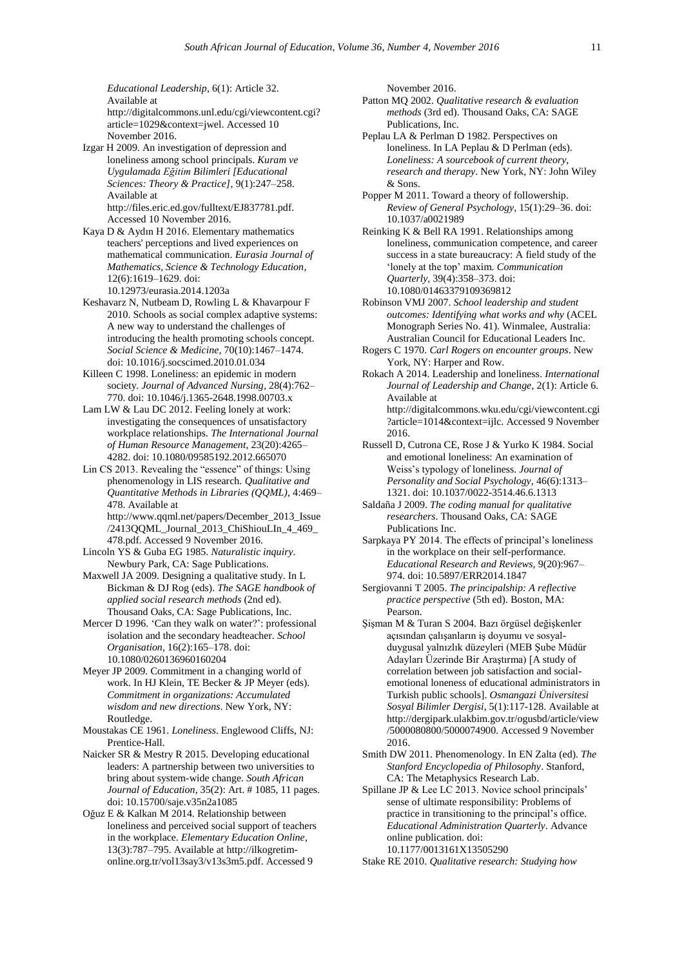*Educational Leadership*, 6(1): Article 32. Available at [http://digitalcommons.unl.edu/cgi/viewcontent.cgi?](http://digitalcommons.unl.edu/cgi/viewcontent.cgi?article=1029&context=jwel) [article=1029&context=jwel.](http://digitalcommons.unl.edu/cgi/viewcontent.cgi?article=1029&context=jwel) Accessed 10 November 2016.

Izgar H 2009. An investigation of depression and loneliness among school principals. *Kuram ve Uygulamada Eğitim Bilimleri [Educational Sciences: Theory & Practice]*, 9(1):247–258. Available at [http://files.eric.ed.gov/fulltext/EJ837781.pdf.](http://files.eric.ed.gov/fulltext/EJ837781.pdf) Accessed 10 November 2016.

Kaya D & Aydın H 2016. Elementary mathematics teachers' perceptions and lived experiences on mathematical communication. *Eurasia Journal of Mathematics, Science & Technology Education*, 12(6):1619–1629. [doi:](https://doi.org/10.12973/eurasia.2014.1203a)  [10.12973/eurasia.2014.1203a](https://doi.org/10.12973/eurasia.2014.1203a)

Keshavarz N, Nutbeam D, Rowling L & Khavarpour F 2010. Schools as social complex adaptive systems: A new way to understand the challenges of introducing the health promoting schools concept. *Social Science & Medicine*, 70(10):1467–1474. [doi: 10.1016/j.socscimed.2010.01.034](https://doi.org/10.1016/j.socscimed.2010.01.034)

Killeen C 1998. Loneliness: an epidemic in modern society. *Journal of Advanced Nursing*, 28(4):762– 770. [doi: 10.1046/j.1365-2648.1998.00703.x](https://doi.org/10.1046/j.1365-2648.1998.00703.x)

Lam LW & Lau DC 2012. Feeling lonely at work: investigating the consequences of unsatisfactory workplace relationships. *The International Journal of Human Resource Management*, 23(20):4265– 4282. [doi: 10.1080/09585192.2012.665070](https://doi.org/10.1080/09585192.2012.665070)

Lin CS 2013. Revealing the "essence" of things: Using phenomenology in LIS research. *Qualitative and Quantitative Methods in Libraries (QQML)*, 4:469– 478. Available at

[http://www.qqml.net/papers/December\\_2013\\_Issue](http://www.qqml.net/papers/December_2013_Issue/2413QQML_Journal_2013_ChiShiouLIn_4_469_478.pdf) [/2413QQML\\_Journal\\_2013\\_ChiShiouLIn\\_4\\_469\\_](http://www.qqml.net/papers/December_2013_Issue/2413QQML_Journal_2013_ChiShiouLIn_4_469_478.pdf) [478.pdf.](http://www.qqml.net/papers/December_2013_Issue/2413QQML_Journal_2013_ChiShiouLIn_4_469_478.pdf) Accessed 9 November 2016.

Lincoln YS & Guba EG 1985. *Naturalistic inquiry*. Newbury Park, CA: Sage Publications.

Maxwell JA 2009. Designing a qualitative study. In L Bickman & DJ Rog (eds). *The SAGE handbook of applied social research methods* (2nd ed). Thousand Oaks, CA: Sage Publications, Inc.

Mercer D 1996. 'Can they walk on water?': professional isolation and the secondary headteacher. *School Organisation*, 16(2):165–178. [doi:](https://doi.org/10.1080/0260136960160204) [10.1080/0260136960160204](https://doi.org/10.1080/0260136960160204)

Meyer JP 2009. Commitment in a changing world of work. In HJ Klein, TE Becker & JP Meyer (eds). *Commitment in organizations: Accumulated wisdom and new directions*. New York, NY: Routledge.

Moustakas CE 1961. *Loneliness*. Englewood Cliffs, NJ: Prentice-Hall.

Naicker SR & Mestry R 2015. Developing educational leaders: A partnership between two universities to bring about system-wide change. *South African Journal of Education*, 35(2): Art. # 1085, 11 pages. [doi: 10.15700/saje.v35n2a1085](https://doi.org/10.15700/saje.v35n2a1085)

Oğuz E & Kalkan M 2014. Relationship between loneliness and perceived social support of teachers in the workplace. *Elementary Education Online*, 13(3):787–795. Available a[t http://ilkogretim](http://ilkogretim-online.org.tr/vol13say3/v13s3m5.pdf)[online.org.tr/vol13say3/v13s3m5.pdf.](http://ilkogretim-online.org.tr/vol13say3/v13s3m5.pdf) Accessed 9

November 2016.

- Patton MQ 2002. *Qualitative research & evaluation methods* (3rd ed). Thousand Oaks, CA: SAGE Publications, Inc.
- Peplau LA & Perlman D 1982. Perspectives on loneliness. In LA Peplau & D Perlman (eds). *Loneliness: A sourcebook of current theory, research and therapy*. New York, NY: John Wiley & Sons.

Popper M 2011. Toward a theory of followership. *Review of General Psychology*, 15(1):29–36. [doi:](https://doi.org/10.1037/a0021989)  [10.1037/a0021989](https://doi.org/10.1037/a0021989)

- Reinking K & Bell RA 1991. Relationships among loneliness, communication competence, and career success in a state bureaucracy: A field study of the 'lonely at the top' maxim. *Communication Quarterly*, 39(4):358–373. [doi:](https://doi.org/10.1080/01463379109369812)  [10.1080/01463379109369812](https://doi.org/10.1080/01463379109369812)
- Robinson VMJ 2007. *School leadership and student outcomes: Identifying what works and why* (ACEL Monograph Series No. 41). Winmalee, Australia: Australian Council for Educational Leaders Inc.
- Rogers C 1970. *Carl Rogers on encounter groups*. New York, NY: Harper and Row.

Rokach A 2014. Leadership and loneliness. *International Journal of Leadership and Change*, 2(1): Article 6. Available at [http://digitalcommons.wku.edu/cgi/viewcontent.cgi](http://digitalcommons.wku.edu/cgi/viewcontent.cgi?article=1014&context=ijlc) [?article=1014&context=ijlc.](http://digitalcommons.wku.edu/cgi/viewcontent.cgi?article=1014&context=ijlc) Accessed 9 November 2016.

Russell D, Cutrona CE, Rose J & Yurko K 1984. Social and emotional loneliness: An examination of Weiss's typology of loneliness. *Journal of Personality and Social Psychology*, 46(6):1313– 1321. doi: [10.1037/0022-3514.46.6.1313](https://doi.org/10.1037/0022-3514.46.6.1313)

Saldaña J 2009. *The coding manual for qualitative researchers*. Thousand Oaks, CA: SAGE Publications Inc.

Sarpkaya PY 2014. The effects of principal's loneliness in the workplace on their self-performance. *Educational Research and Reviews*, 9(20):967– 974. [doi: 10.5897/ERR2014.1847](https://doi.org/10.5897/ERR2014.1847)

- Sergiovanni T 2005. *The principalship: A reflective practice perspective* (5th ed). Boston, MA: Pearson.
- Şişman M & Turan S 2004. Bazı örgüsel değişkenler açısından çalışanların iş doyumu ve sosyalduygusal yalnızlık düzeyleri (MEB Şube Müdür Adayları Üzerinde Bir Araştırma) [A study of correlation between job satisfaction and socialemotional loneness of educational administrators in Turkish public schools]. *Osmangazi Üniversitesi Sosyal Bilimler Dergisi*, 5(1):117-128. Available at [http://dergipark.ulakbim.gov.tr/ogusbd/article/view](http://dergipark.ulakbim.gov.tr/ogusbd/article/view/5000080800/5000074900) [/5000080800/5000074900.](http://dergipark.ulakbim.gov.tr/ogusbd/article/view/5000080800/5000074900) Accessed 9 November 2016.
- Smith DW 2011. Phenomenology. In EN Zalta (ed). *The Stanford Encyclopedia of Philosophy*. Stanford, CA: The Metaphysics Research Lab.
- Spillane JP & Lee LC 2013. Novice school principals' sense of ultimate responsibility: Problems of practice in transitioning to the principal's office. *Educational Administration Quarterly*. Advance online publication[. doi:](https://doi.org/10.1177/0013161X13505290)  [10.1177/0013161X13505290](https://doi.org/10.1177/0013161X13505290)

Stake RE 2010. *Qualitative research: Studying how*